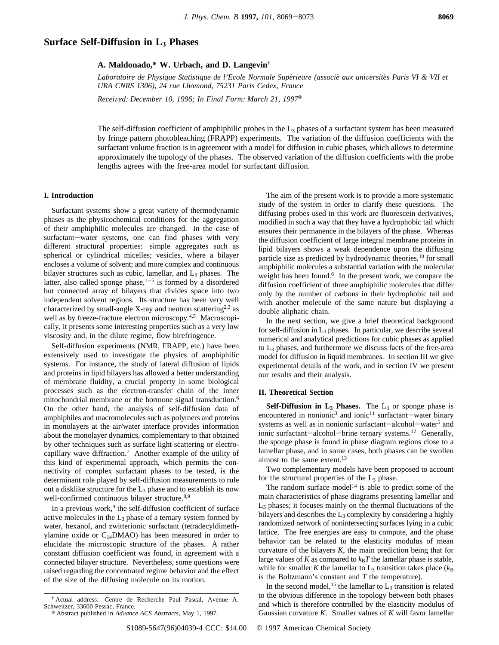# **Surface Self-Diffusion in L3 Phases**

## **A. Maldonado,\* W. Urbach, and D. Langevin†**

*Laboratoire de Physique Statistique de l'Ecole Normale Supérieure (associé aux universités Paris VI & VII et URA CNRS 1306), 24 rue Lhomond, 75231 Paris Cedex, France*

*Received: December 10, 1996; In Final Form: March 21, 1997*<sup>®</sup>

The self-diffusion coefficient of amphiphilic probes in the  $L_3$  phases of a surfactant system has been measured by fringe pattern photobleaching (FRAPP) experiments. The variation of the diffusion coefficients with the surfactant volume fraction is in agreement with a model for diffusion in cubic phases, which allows to determine approximately the topology of the phases. The observed variation of the diffusion coefficients with the probe lengths agrees with the free-area model for surfactant diffusion.

### **I. Introduction**

Surfactant systems show a great variety of thermodynamic phases as the physicochemical conditions for the aggregation of their amphiphilic molecules are changed. In the case of surfactant-water systems, one can find phases with very different structural properties: simple aggregates such as spherical or cylindrical micelles; vesicles, where a bilayer encloses a volume of solvent; and more complex and continuous bilayer structures such as cubic, lamellar, and L<sub>3</sub> phases. The latter, also called sponge phase, $1-5$  is formed by a disordered but connected array of bilayers that divides space into two independent solvent regions. Its structure has been very well characterized by small-angle X-ray and neutron scattering<sup>2,3</sup> as well as by freeze-fracture electron microscopy.<sup>4,5</sup> Macroscopically, it presents some interesting properties such as a very low viscosity and, in the dilute regime, flow birefringence.

Self-diffusion experiments (NMR, FRAPP, etc.) have been extensively used to investigate the physics of amphiphilic systems. For instance, the study of lateral diffusion of lipids and proteins in lipid bilayers has allowed a better understanding of membrane fluidity, a crucial property in some biological processes such as the electron-transfer chain of the inner mitochondrial membrane or the hormone signal transduction.<sup>6</sup> On the other hand, the analysis of self-diffusion data of amphiphiles and macromolecules such as polymers and proteins in monolayers at the air/water interface provides information about the monolayer dynamics, complementary to that obtained by other techniques such as surface light scattering or electrocapillary wave diffraction.7 Another example of the utility of this kind of experimental approach, which permits the connectivity of complex surfactant phases to be tested, is the determinant role played by self-diffusion measurements to rule out a disklike structure for the  $L_3$  phase and to establish its now well-confirmed continuous bilayer structure.<sup>8,9</sup>

In a previous work, $9$  the self-diffusion coefficient of surface active molecules in the  $L_3$  phase of a ternary system formed by water, hexanol, and zwitterionic surfactant (tetradecyldimethylamine oxide or  $C_{14}$ DMAO) has been measured in order to elucidate the microscopic structure of the phases. A rather constant diffusion coefficient was found, in agreement with a connected bilayer structure. Nevertheless, some questions were raised regarding the concentrated regime behavior and the effect of the size of the diffusing molecule on its motion.

The aim of the present work is to provide a more systematic study of the system in order to clarify these questions. The diffusing probes used in this work are fluorescein derivatives, modified in such a way that they have a hydrophobic tail which ensures their permanence in the bilayers of the phase. Whereas the diffusion coefficient of large integral membrane proteins in lipid bilayers shows a weak dependence upon the diffusing particle size as predicted by hydrodynamic theories,<sup>10</sup> for small amphiphilic molecules a substantial variation with the molecular weight has been found.<sup>6</sup> In the present work, we compare the diffusion coefficient of three amphiphilic molecules that differ only by the number of carbons in their hydrophobic tail and with another molecule of the same nature but displaying a double aliphatic chain.

In the next section, we give a brief theoretical background for self-diffusion in  $L_3$  phases. In particular, we describe several numerical and analytical predictions for cubic phases as applied to  $L_3$  phases, and furthermore we discuss facts of the free-area model for diffusion in liquid membranes. In section III we give experimental details of the work, and in section IV we present our results and their analysis.

### **II. Theoretical Section**

**Self-Diffusion in**  $L_3$  **<b>Phases.** The  $L_3$  or sponge phase is encountered in nonionic<sup>3</sup> and ionic<sup>11</sup> surfactant-water binary systems as well as in nonionic surfactant-alcohol-water<sup>5</sup> and ionic surfactant-alcohol-brine ternary systems.<sup>12</sup> Generally, the sponge phase is found in phase diagram regions close to a lamellar phase, and in some cases, both phases can be swollen almost to the same extent.<sup>13</sup>

Two complementary models have been proposed to account for the structural properties of the L3 phase.

The random surface model<sup>14</sup> is able to predict some of the main characteristics of phase diagrams presenting lamellar and  $L<sub>3</sub>$  phases; it focuses mainly on the thermal fluctuations of the bilayers and describes the  $L_3$  complexity by considering a highly randomized network of nonintersecting surfaces lying in a cubic lattice. The free energies are easy to compute, and the phase behavior can be related to the elasticity modulus of mean curvature of the bilayers  $K$ , the main prediction being that for large values of  $K$  as compared to  $k_B T$  the lamellar phase is stable, while for smaller *K* the lamellar to  $L_3$  transition takes place ( $k_B$ ) is the Boltzmann's constant and *T* the temperature).

In the second model,<sup>15</sup> the lamellar to  $L_3$  transition is related to the obvious difference in the topology between both phases and which is therefore controlled by the elasticity modulus of Gaussian curvature *K*. Smaller values of *K* will favor lamellar

<sup>†</sup> Actual address: Centre de Recherche Paul Pascal, Avenue A.

<sup>&</sup>lt;sup>8</sup> Abstract published in *Advance ACS Abstracts*, May 1, 1997.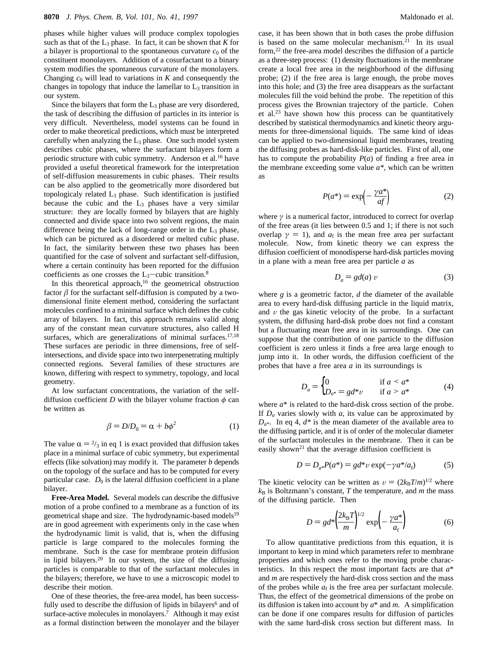phases while higher values will produce complex topologies such as that of the  $L_3$  phase. In fact, it can be shown that  $K$  for a bilayer is proportional to the spontaneous curvature  $c_0$  of the constituent monolayers. Addition of a cosurfactant to a binary system modifies the spontaneous curvature of the monolayers. Changing  $c_0$  will lead to variations in  $K$  and consequently the changes in topology that induce the lamellar to  $L<sub>3</sub>$  transition in our system.

Since the bilayers that form the  $L_3$  phase are very disordered, the task of describing the diffusion of particles in its interior is very difficult. Nevertheless, model systems can be found in order to make theoretical predictions, which must be interpreted carefully when analyzing the  $L_3$  phase. One such model system describes cubic phases, where the surfactant bilayers form a periodic structure with cubic symmetry. Anderson et al.<sup>16</sup> have provided a useful theoretical framework for the interpretation of self-diffusion measurements in cubic phases. Their results can be also applied to the geometrically more disordered but topologicaly related  $L_3$  phase. Such identification is justified because the cubic and the  $L_3$  phases have a very similar structure: they are locally formed by bilayers that are highly connected and divide space into two solvent regions, the main difference being the lack of long-range order in the  $L_3$  phase, which can be pictured as a disordered or melted cubic phase. In fact, the similarity between these two phases has been quantified for the case of solvent and surfactant self-diffusion, where a certain continuity has been reported for the diffusion coefficients as one crosses the  $L_3$ -cubic transition.<sup>8</sup>

In this theoretical approach, $16$  the geometrical obstruction factor  $\beta$  for the surfactant self-diffusion is computed by a twodimensional finite element method, considering the surfactant molecules confined to a minimal surface which defines the cubic array of bilayers. In fact, this approach remains valid along any of the constant mean curvature structures, also called H surfaces, which are generalizations of minimal surfaces. $17,18$ These surfaces are periodic in three dimensions, free of selfintersections, and divide space into two interpenetrating multiply connected regions. Several families of these structures are known, differing with respect to symmetry, topology, and local geometry.

At low surfactant concentrations, the variation of the selfdiffusion coefficient *D* with the bilayer volume fraction  $\phi$  can be written as

$$
\beta = D/D_0 = \alpha + b\phi^2 \tag{1}
$$

The value  $\alpha = \frac{2}{3}$  in eq 1 is exact provided that diffusion takes place in a minimal surface of cubic symmetry, but experimental effects (like solvation) may modify it. The parameter *b* depends on the topology of the surface and has to be computed for every particular case.  $D_0$  is the lateral diffusion coefficient in a plane bilayer.

**Free-Area Model.** Several models can describe the diffusive motion of a probe confined to a membrane as a function of its geometrical shape and size. The hydrodynamic-based models<sup>19</sup> are in good agreement with experiments only in the case when the hydrodynamic limit is valid, that is, when the diffusing particle is large compared to the molecules forming the membrane. Such is the case for membrane protein diffusion in lipid bilayers.20 In our system, the size of the diffusing particles is comparable to that of the surfactant molecules in the bilayers; therefore, we have to use a microscopic model to describe their motion.

One of these theories, the free-area model, has been successfully used to describe the diffusion of lipids in bilayers<sup>6</sup> and of surface-active molecules in monolayers.<sup>7</sup> Although it may exist as a formal distinction between the monolayer and the bilayer

case, it has been shown that in both cases the probe diffusion is based on the same molecular mechanism.<sup>21</sup> In its usual form,22 the free-area model describes the diffusion of a particle as a three-step process: (1) density fluctuations in the membrane create a local free area in the neighborhood of the diffusing probe; (2) if the free area is large enough, the probe moves into this hole; and (3) the free area disappears as the surfactant molecules fill the void behind the probe. The repetition of this process gives the Brownian trajectory of the particle. Cohen et al.23 have shown how this process can be quantitatively described by statistical thermodynamics and kinetic theory arguments for three-dimensional liquids. The same kind of ideas can be applied to two-dimensional liquid membranes, treating the diffusing probes as hard-disk-like particles. First of all, one has to compute the probability *P*(*a*) of finding a free area in the membrane exceeding some value *a\**, which can be written as

$$
P(a^*) = \exp\left(-\frac{\gamma a^*}{af}\right) \tag{2}
$$

where  $\gamma$  is a numerical factor, introduced to correct for overlap of the free areas (it lies between 0.5 and 1; if there is not such overlap  $\gamma = 1$ ), and  $a_f$  is the mean free area per surfactant molecule. Now, from kinetic theory we can express the diffusion coefficient of monodisperse hard-disk particles moving in a plane with a mean free area per particle *a* as

$$
D_a = gd(a) v \tag{3}
$$

where *g* is a geometric factor, *d* the diameter of the available area to every hard-disk diffusing particle in the liquid matrix, and  $v$  the gas kinetic velocity of the probe. In a surfactant system, the diffusing hard-disk probe does not find a constant but a fluctuating mean free area in its surroundings. One can suppose that the contribution of one particle to the diffusion coefficient is zero unless it finds a free area large enough to jump into it. In other words, the diffusion coefficient of the probes that have a free area *a* in its surroundings is

$$
D_a = \begin{cases} 0 & \text{if } a < a^* \\ D_{a^*} = gd^*v & \text{if } a > a^* \end{cases} \tag{4}
$$

where  $a^*$  is related to the hard-disk cross section of the probe. If *Da* varies slowly with *a*, its value can be approximated by  $D_{a^*}$ . In eq 4,  $d^*$  is the mean diameter of the available area to the diffusing particle, and it is of order of the molecular diameter of the surfactant molecules in the membrane. Then it can be easily shown<sup>21</sup> that the average diffusion coefficient is

$$
D = D_{a*}P(a^*) = gd^*v \exp(-\gamma a^*/a_f)
$$
 (5)

The kinetic velocity can be written as  $v = (2k_BT/m)^{1/2}$  where  $k_B$  is Boltzmann's constant, *T* the temperature, and *m* the mass of the diffusing particle. Then

$$
D = gd^* \left(\frac{2k_B T}{m}\right)^{1/2} \exp\left(-\frac{\gamma a^*}{a_f}\right) \tag{6}
$$

To allow quantitative predictions from this equation, it is important to keep in mind which parameters refer to membrane properties and which ones refer to the moving probe characteristics. In this respect the most important facts are that *a*\* and *m* are respectively the hard-disk cross section and the mass of the probes while  $a_f$  is the free area per surfactant molecule. Thus, the effect of the geometrical dimensions of the probe on its diffusion is taken into account by *a*\* and *m*. A simplification can be done if one compares results for diffusion of particles with the same hard-disk cross section but different mass. In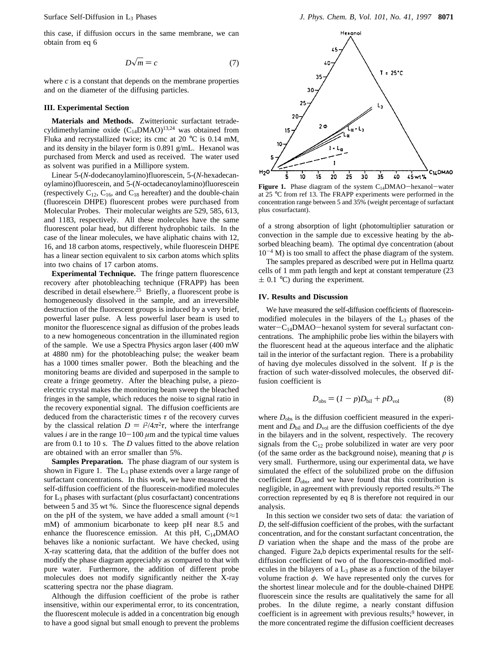this case, if diffusion occurs in the same membrane, we can obtain from eq 6

$$
D\sqrt{m} = c \tag{7}
$$

where  $c$  is a constant that depends on the membrane properties and on the diameter of the diffusing particles.

### **III. Experimental Section**

**Materials and Methods.** Zwitterionic surfactant tetradecyldimethylamine oxide  $(C_{14}DMAO)^{13,24}$  was obtained from Fluka and recrystallized twice; its cmc at 20 °C is 0.14 mM, and its density in the bilayer form is 0.891 g/mL. Hexanol was purchased from Merck and used as received. The water used as solvent was purified in a Millipore system.

Linear 5-(*N*-dodecanoylamino)fluorescein, 5-(*N*-hexadecanoylamino)fluorescein, and 5-(*N*-octadecanoylamino)fluorescein (respectively  $C_{12}$ ,  $C_{16}$ , and  $C_{18}$  hereafter) and the double-chain (fluorescein DHPE) fluorescent probes were purchased from Molecular Probes. Their molecular weights are 529, 585, 613, and 1183, respectively. All these molecules have the same fluorescent polar head, but different hydrophobic tails. In the case of the linear molecules, we have aliphatic chains with 12, 16, and 18 carbon atoms, respectively, while fluorescein DHPE has a linear section equivalent to six carbon atoms which splits into two chains of 17 carbon atoms.

**Experimental Technique.** The fringe pattern fluorescence recovery after photobleaching technique (FRAPP) has been described in detail elsewhere.<sup>25</sup> Briefly, a fluorescent probe is homogeneously dissolved in the sample, and an irreversible destruction of the fluorescent groups is induced by a very brief, powerful laser pulse. A less powerful laser beam is used to monitor the fluorescence signal as diffusion of the probes leads to a new homogeneous concentration in the illuminated region of the sample. We use a Spectra Physics argon laser (400 mW at 4880 nm) for the photobleaching pulse; the weaker beam has a 1000 times smaller power. Both the bleaching and the monitoring beams are divided and superposed in the sample to create a fringe geometry. After the bleaching pulse, a piezoelectric crystal makes the monitoring beam sweep the bleached fringes in the sample, which reduces the noise to signal ratio in the recovery exponential signal. The diffusion coefficients are deduced from the characteristic times *τ* of the recovery curves by the classical relation  $D = i^2/4\pi^2\tau$ , where the interfrange values *i* are in the range  $10-100 \mu m$  and the typical time values are from 0.1 to 10 s. The *D* values fitted to the above relation are obtained with an error smaller than 5%.

**Samples Preparation.** The phase diagram of our system is shown in Figure 1. The  $L_3$  phase extends over a large range of surfactant concentrations. In this work, we have measured the self-diffusion coefficient of the fluorescein-modified molecules for  $L_3$  phases with surfactant (plus cosurfactant) concentrations between 5 and 35 wt %. Since the fluorescence signal depends on the pH of the system, we have added a small amount  $(\approx 1)$ mM) of ammonium bicarbonate to keep pH near 8.5 and enhance the fluorescence emission. At this pH, C<sub>14</sub>DMAO behaves like a nonionic surfactant. We have checked, using X-ray scattering data, that the addition of the buffer does not modify the phase diagram appreciably as compared to that with pure water. Furthermore, the addition of different probe molecules does not modify significantly neither the X-ray scattering spectra nor the phase diagram.

Although the diffusion coefficient of the probe is rather insensitive, within our experimental error, to its concentration, the fluorescent molecule is added in a concentration big enough to have a good signal but small enough to prevent the problems



Figure 1. Phase diagram of the system C<sub>14</sub>DMAO-hexanol-water at 25 °C from ref 13. The FRAPP experiments were performed in the concentration range between 5 and 35% (weight percentage of surfactant plus cosurfactant).

of a strong absorption of light (photomultiplier saturation or convection in the sample due to excessive heating by the absorbed bleaching beam). The optimal dye concentration (about  $10^{-4}$  M) is too small to affect the phase diagram of the system.

The samples prepared as described were put in Hellma quartz cells of 1 mm path length and kept at constant temperature (23  $\pm$  0.1 °C) during the experiment.

### **IV. Results and Discussion**

We have measured the self-diffusion coefficients of fluoresceinmodified molecules in the bilayers of the L3 phases of the water $-C_{14}$ DMAO-hexanol system for several surfactant concentrations. The amphiphilic probe lies within the bilayers with the fluorescent head at the aqueous interface and the aliphatic tail in the interior of the surfactant region. There is a probability of having dye molecules dissolved in the solvent. If *p* is the fraction of such water-dissolved molecules, the observed diffusion coefficient is

$$
D_{\text{obs}} = (I - p)D_{\text{bil}} + pD_{\text{vol}} \tag{8}
$$

where  $D_{obs}$  is the diffusion coefficient measured in the experiment and  $D_{\text{bil}}$  and  $D_{\text{vol}}$  are the diffusion coefficients of the dye in the bilayers and in the solvent, respectively. The recovery signals from the  $C_{12}$  probe solubilized in water are very poor (of the same order as the background noise), meaning that  $p$  is very small. Furthermore, using our experimental data, we have simulated the effect of the solubilized probe on the diffusion coefficient *D*obs, and we have found that this contribution is negligible, in agreement with previously reported results.26 The correction represented by eq 8 is therefore not required in our analysis.

In this section we consider two sets of data: the variation of *D*, the self-diffusion coefficient of the probes, with the surfactant concentration, and for the constant surfactant concentration, the *D* variation when the shape and the mass of the probe are changed. Figure 2a,b depicts experimental results for the selfdiffusion coefficient of two of the fluorescein-modified molecules in the bilayers of a  $L_3$  phase as a function of the bilayer volume fraction *φ*. We have represented only the curves for the shortest linear molecule and for the double-chained DHPE fluorescein since the results are qualitatively the same for all probes. In the dilute regime, a nearly constant diffusion coefficient is in agreement with previous results;<sup>9</sup> however, in the more concentrated regime the diffusion coefficient decreases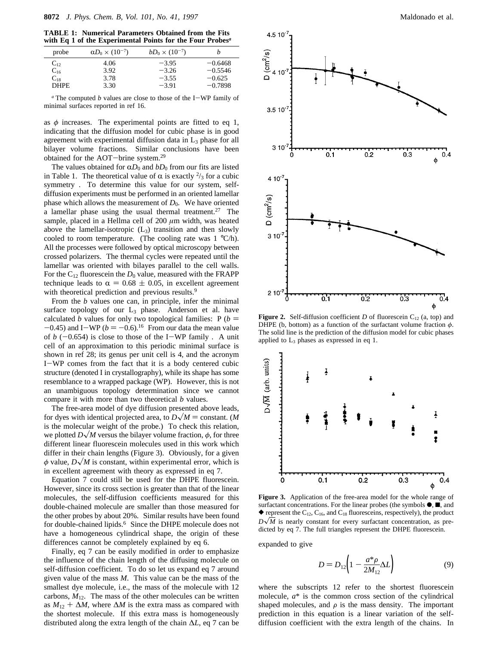**TABLE 1: Numerical Parameters Obtained from the Fits with Eq 1 of the Experimental Points for the Four Probes***<sup>a</sup>*

| probe       | $\alpha D_0 \times (10^{-7})$ | $bD_0 \times (10^{-7})$ | n         |
|-------------|-------------------------------|-------------------------|-----------|
| $C_{12}$    | 4.06                          | $-3.95$                 | $-0.6468$ |
| $C_{16}$    | 3.92                          | $-3.26$                 | $-0.5546$ |
| $C_{18}$    | 3.78                          | $-3.55$                 | $-0.625$  |
| <b>DHPE</b> | 3.30                          | $-3.91$                 | $-0.7898$ |

*<sup>a</sup>* The computed *b* values are close to those of the I-WP family of minimal surfaces reported in ref 16.

as *φ* increases. The experimental points are fitted to eq 1, indicating that the diffusion model for cubic phase is in good agreement with experimental diffusion data in  $L_3$  phase for all bilayer volume fractions. Similar conclusions have been obtained for the AOT-brine system.29

The values obtained for  $\alpha D_0$  and  $bD_0$  from our fits are listed in Table 1. The theoretical value of  $\alpha$  is exactly  $\frac{2}{3}$  for a cubic symmetry . To determine this value for our system, selfdiffusion experiments must be performed in an oriented lamellar phase which allows the measurement of  $D_0$ . We have oriented a lamellar phase using the usual thermal treatment.<sup>27</sup> The sample, placed in a Hellma cell of 200 *µ*m width, was heated above the lamellar-isotropic  $(L_3)$  transition and then slowly cooled to room temperature. (The cooling rate was  $1 \degree C/h$ ). All the processes were followed by optical microscopy between crossed polarizers. The thermal cycles were repeated until the lamellar was oriented with bilayes parallel to the cell walls. For the  $C_{12}$  fluorescein the  $D_0$  value, measured with the FRAPP technique leads to  $\alpha = 0.68 \pm 0.05$ , in excellent agreement with theoretical prediction and previous results.<sup>9</sup>

From the *b* values one can, in principle, infer the minimal surface topology of our L<sub>3</sub> phase. Anderson et al. have calculated *b* values for only two topological families:  $P(b =$  $-0.45$ ) and I-WP ( $b = -0.6$ ).<sup>16</sup> From our data the mean value of  $b$  ( $-0.654$ ) is close to those of the I-WP family . A unit cell of an approximation to this periodic minimal surface is shown in ref 28; its genus per unit cell is 4, and the acronym I-WP comes from the fact that it is a body centered cubic structure (denoted I in crystallography), while its shape has some resemblance to a wrapped package (WP). However, this is not an unambiguous topology determination since we cannot compare it with more than two theoretical *b* values.

The free-area model of dye diffusion presented above leads, for dyes with identical projected area, to  $D\sqrt{M}$  = constant. (*M* is the molecular weight of the probe.) To check this relation, we plotted  $D\sqrt{M}$  versus the bilayer volume fraction,  $\phi$ , for three different linear fluorescein molecules used in this work which differ in their chain lengths (Figure 3). Obviously, for a given  $\phi$  value,  $D\sqrt{M}$  is constant, within experimental error, which is in excellent agreement with theory as expressed in eq 7.

Equation 7 could still be used for the DHPE fluorescein. However, since its cross section is greater than that of the linear molecules, the self-diffusion coefficients measured for this double-chained molecule are smaller than those measured for the other probes by about 20%. Similar results have been found for double-chained lipids.<sup>6</sup> Since the DHPE molecule does not have a homogeneous cylindrical shape, the origin of these differences cannot be completely explained by eq 6.

Finally, eq 7 can be easily modified in order to emphasize the influence of the chain length of the diffusing molecule on self-diffusion coefficient. To do so let us expand eq 7 around given value of the mass *M*. This value can be the mass of the smallest dye molecule, i.e., the mass of the molecule with 12 carbons,  $M_{12}$ . The mass of the other molecules can be written as  $M_{12} + \Delta M$ , where  $\Delta M$  is the extra mass as compared with the shortest molecule. If this extra mass is homogeneously distributed along the extra length of the chain ∆*L*, eq 7 can be



**Figure 2.** Self-diffusion coefficient *D* of fluorescein  $C_{12}$  (a, top) and DHPE (b, bottom) as a function of the surfactant volume fraction *φ*. The solid line is the prediction of the diffusion model for cubic phases applied to  $L_3$  phases as expressed in eq 1.



**Figure 3.** Application of the free-area model for the whole range of surfactant concentrations. For the linear probes (the symbols  $\bullet$ ,  $\blacksquare$ , and  $\blacklozenge$  represent the C<sub>12</sub>, C<sub>16</sub>, and C<sub>18</sub> fluoresceins, respectively), the product  $D\sqrt{M}$  is nearly constant for every surfactant concentration, as predicted by eq 7. The full triangles represent the DHPE fluorescein.

expanded to give

$$
D = D_{12} \left( 1 - \frac{a^* \rho}{2M_{12}} \Delta L \right) \tag{9}
$$

where the subscripts 12 refer to the shortest fluorescein molecule, *a*\* is the common cross section of the cylindrical shaped molecules, and  $\rho$  is the mass density. The important prediction in this equation is a linear variation of the selfdiffusion coefficient with the extra length of the chains. In